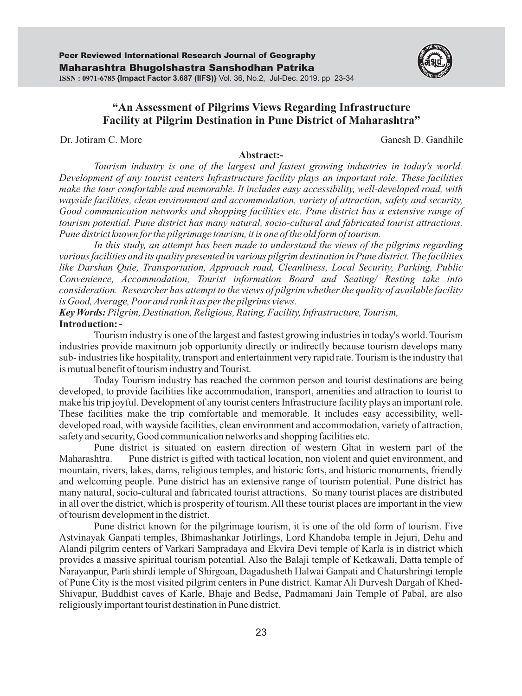

## **"An Assessment of Pilgrims Views Regarding Infrastructure Facility at Pilgrim Destination in Pune District of Maharashtra"**

Dr. Jotiram C. More Ganesh D. Ganesh D. Ganesh D. Gandhile

#### **Abstract:-**

*Tourism industry is one of the largest and fastest growing industries in today's world. Development of any tourist centers Infrastructure facility plays an important role. These facilities make the tour comfortable and memorable. It includes easy accessibility, well-developed road, with wayside facilities, clean environment and accommodation, variety of attraction, safety and security, Good communication networks and shopping facilities etc. Pune district has a extensive range of tourism potential. Pune district has many natural, socio-cultural and fabricated tourist attractions. Pune district known for the pilgrimage tourism, it is one of the old form of tourism.* 

*In this study, an attempt has been made to understand the views of the pilgrims regarding various facilities and its quality presented in various pilgrim destination in Pune district. The facilities like Darshan Quie, Transportation, Approach road, Cleanliness, Local Security, Parking, Public Convenience, Accommodation, Tourist information Board and Seating/ Resting take into consideration. Researcher has attempt to the views of pilgrim whether the quality of available facility is Good, Average, Poor and rank it as per the pilgrims views.*

**Introduction: -** *Key Words:Pilgrim, Destination, Religious, Rating, Facility, Infrastructure, Tourism,*

Tourism industry is one of the largest and fastest growing industries in today's world. Tourism industries provide maximum job opportunity directly or indirectly because tourism develops many sub- industries like hospitality, transport and entertainment very rapid rate. Tourism is the industry that is mutual benefit of tourism industry and Tourist.

Today Tourism industry has reached the common person and tourist destinations are being developed, to provide facilities like accommodation, transport, amenities and attraction to tourist to make his trip joyful. Development of any tourist centers Infrastructure facility plays an important role. These facilities make the trip comfortable and memorable. It includes easy accessibility, welldeveloped road, with wayside facilities, clean environment and accommodation, variety of attraction, safety and security, Good communication networks and shopping facilities etc.

Pune district is situated on eastern direction of western Ghat in western part of the Maharashtra. Pune district is gifted with tactical location, non violent and quiet environment, and mountain, rivers, lakes, dams, religious temples, and historic forts, and historic monuments, friendly and welcoming people. Pune district has an extensive range of tourism potential. Pune district has many natural, socio-cultural and fabricated tourist attractions. So many tourist places are distributed in all over the district, which is prosperity of tourism. All these tourist places are important in the view of tourism development in the district.

Pune district known for the pilgrimage tourism, it is one of the old form of tourism. Five Astvinayak Ganpati temples, Bhimashankar Jotirlings, Lord Khandoba temple in Jejuri, Dehu and Alandi pilgrim centers of Varkari Sampradaya and Ekvira Devi temple of Karla is in district which provides a massive spiritual tourism potential. Also the Balaji temple of Ketkawali, Datta temple of Narayanpur, Parti shirdi temple of Shirgoan, Dagadusheth Halwai Ganpati and Chaturshringi temple of Pune City is the most visited pilgrim centers in Pune district. Kamar Ali Durvesh Dargah of Khed-Shivapur, Buddhist caves of Karle, Bhaje and Bedse, Padmamani Jain Temple of Pabal, are also religiously important tourist destination in Pune district.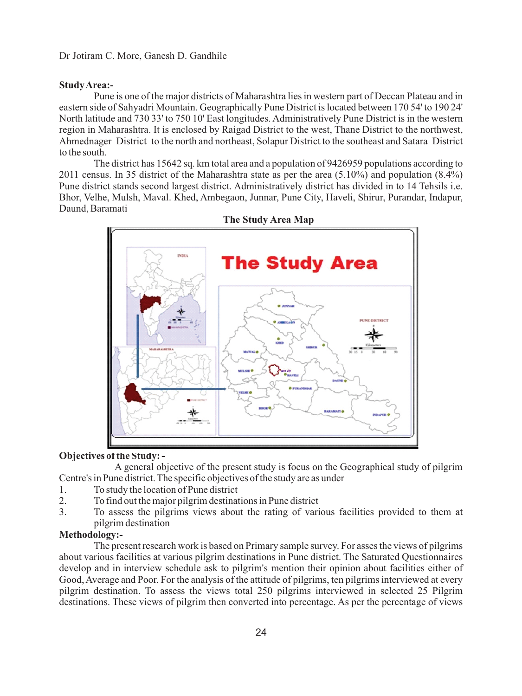#### **Study Area:-**

Pune is one of the major districts of Maharashtra lies in western part of Deccan Plateau and in eastern side of Sahyadri Mountain. Geographically Pune District is located between 170 54' to 190 24' North latitude and 730 33' to 750 10' East longitudes. Administratively Pune District is in the western region in Maharashtra. It is enclosed by Raigad District to the west, Thane District to the northwest, Ahmednager District to the north and northeast, Solapur District to the southeast and Satara District to the south.

The district has 15642 sq. km total area and a population of 9426959 populations according to 2011 census. In 35 district of the Maharashtra state as per the area (5.10%) and population (8.4%) Pune district stands second largest district. Administratively district has divided in to 14 Tehsils i.e. Bhor, Velhe, Mulsh, Maval. Khed, Ambegaon, Junnar, Pune City, Haveli, Shirur, Purandar, Indapur, Daund, Baramati





#### **Objectives of the Study: -**

A general objective of the present study is focus on the Geographical study of pilgrim Centre's in Pune district. The specific objectives of the study are as under

- 1. To study the location of Pune district<br>2. To find out the maior pilgrim destinat
- 2. To find out the major pilgrim destinations in Pune district
- 3. To assess the pilgrims views about the rating of various facilities provided to them at pilgrim destination

#### **Methodology:-**

The present research work is based on Primary sample survey. For asses the views of pilgrims about various facilities at various pilgrim destinations in Pune district. The Saturated Questionnaires develop and in interview schedule ask to pilgrim's mention their opinion about facilities either of Good, Average and Poor. For the analysis of the attitude of pilgrims, ten pilgrims interviewed at every pilgrim destination. To assess the views total 250 pilgrims interviewed in selected 25 Pilgrim destinations. These views of pilgrim then converted into percentage. As per the percentage of views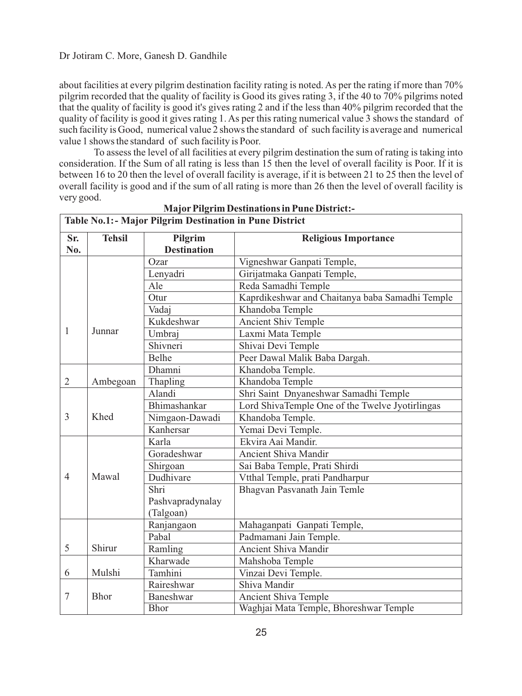about facilities at every pilgrim destination facility rating is noted. As per the rating if more than 70% pilgrim recorded that the quality of facility is Good its gives rating 3, if the 40 to 70% pilgrims noted that the quality of facility is good it's gives rating 2 and if the less than 40% pilgrim recorded that the quality of facility is good it gives rating 1. As per this rating numerical value 3 shows the standard of such facility is Good, numerical value 2 shows the standard of such facility is average and numerical value 1 shows the standard of such facility is Poor.

To assess the level of all facilities at every pilgrim destination the sum of rating is taking into consideration. If the Sum of all rating is less than 15 then the level of overall facility is Poor. If it is between 16 to 20 then the level of overall facility is average, if it is between 21 to 25 then the level of overall facility is good and if the sum of all rating is more than 26 then the level of overall facility is very good.

|                | Table No.1: - Major Pilgrim Destination in Pune District |                    |                                                 |  |  |  |
|----------------|----------------------------------------------------------|--------------------|-------------------------------------------------|--|--|--|
| Sr.            | <b>Tehsil</b>                                            | Pilgrim            | <b>Religious Importance</b>                     |  |  |  |
| No.            |                                                          | <b>Destination</b> |                                                 |  |  |  |
|                |                                                          | Ozar               | Vigneshwar Ganpati Temple,                      |  |  |  |
|                |                                                          | Lenyadri           | Girijatmaka Ganpati Temple,                     |  |  |  |
|                |                                                          | Ale                | Reda Samadhi Temple                             |  |  |  |
|                |                                                          | Otur               | Kaprdikeshwar and Chaitanya baba Samadhi Temple |  |  |  |
|                |                                                          | Vadaj              | Khandoba Temple                                 |  |  |  |
|                |                                                          | Kukdeshwar         | <b>Ancient Shiv Temple</b>                      |  |  |  |
| $\mathbf{1}$   | Junnar                                                   | Umbraj             | Laxmi Mata Temple                               |  |  |  |
|                |                                                          | Shivneri           | Shivai Devi Temple                              |  |  |  |
|                |                                                          | Belhe              | Peer Dawal Malik Baba Dargah.                   |  |  |  |
|                |                                                          | Dhamni             | Khandoba Temple.                                |  |  |  |
| $\overline{2}$ | Ambegoan                                                 | Thapling           | Khandoba Temple                                 |  |  |  |
|                |                                                          | Alandi             | Shri Saint Dnyaneshwar Samadhi Temple           |  |  |  |
|                |                                                          | Bhimashankar       | Lord ShivaTemple One of the Twelve Jyotirlingas |  |  |  |
| 3              | Khed                                                     | Nimgaon-Dawadi     | Khandoba Temple.                                |  |  |  |
|                |                                                          | Kanhersar          | Yemai Devi Temple.                              |  |  |  |
|                |                                                          | Karla              | Ekvira Aai Mandir.                              |  |  |  |
|                |                                                          | Goradeshwar        | Ancient Shiva Mandir                            |  |  |  |
|                |                                                          | Shirgoan           | Sai Baba Temple, Prati Shirdi                   |  |  |  |
| $\overline{4}$ | Mawal                                                    | Dudhivare          | Vtthal Temple, prati Pandharpur                 |  |  |  |
|                |                                                          | Shri               | Bhagvan Pasvanath Jain Temle                    |  |  |  |
|                |                                                          | Pashvapradynalay   |                                                 |  |  |  |
|                |                                                          | (Talgoan)          |                                                 |  |  |  |
|                |                                                          | Ranjangaon         | Mahaganpati Ganpati Temple,                     |  |  |  |
|                |                                                          | Pabal              | Padmamani Jain Temple.                          |  |  |  |
| 5              | Shirur                                                   | Ramling            | Ancient Shiva Mandir                            |  |  |  |
|                |                                                          | Kharwade           | Mahshoba Temple                                 |  |  |  |
| 6              | Mulshi                                                   | Tamhini            | Vinzai Devi Temple.                             |  |  |  |
|                |                                                          | Raireshwar         | Shiva Mandir                                    |  |  |  |
| $\overline{7}$ | <b>Bhor</b>                                              | Baneshwar          | Ancient Shiva Temple                            |  |  |  |
|                |                                                          | <b>Bhor</b>        | Waghjai Mata Temple, Bhoreshwar Temple          |  |  |  |

**MajorPilgrim Destinations in Pune District:-**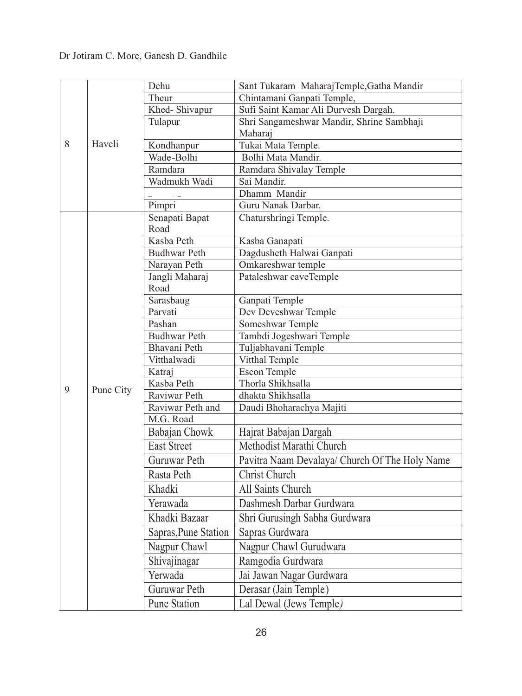|   |           | Dehu                   | Sant Tukaram MaharajTemple, Gatha Mandir       |
|---|-----------|------------------------|------------------------------------------------|
|   |           | Theur                  | Chintamani Ganpati Temple,                     |
|   |           | Khed-Shivapur          | Sufi Saint Kamar Ali Durvesh Dargah.           |
|   |           | Tulapur                | Shri Sangameshwar Mandir, Shrine Sambhaji      |
|   |           |                        | Maharaj                                        |
| 8 | Haveli    | Kondhanpur             | Tukai Mata Temple.                             |
|   |           | Wade-Bolhi             | Bolhi Mata Mandir.                             |
|   |           | Ramdara                | Ramdara Shivalay Temple                        |
|   |           | Wadmukh Wadi           | Sai Mandir.                                    |
|   |           |                        | Dhamm Mandir                                   |
|   |           | Pimpri                 | Guru Nanak Darbar.                             |
|   |           | Senapati Bapat         | Chaturshringi Temple.                          |
|   |           | Road                   |                                                |
|   |           | Kasba Peth             | Kasba Ganapati                                 |
|   |           | <b>Budhwar Peth</b>    | Dagdusheth Halwai Ganpati                      |
|   |           | Narayan Peth           | Omkareshwar temple                             |
|   |           | Jangli Maharaj<br>Road | Pataleshwar caveTemple                         |
|   |           | Sarasbaug              | Ganpati Temple                                 |
|   |           | Parvati                | Dev Deveshwar Temple                           |
|   |           | Pashan                 | Someshwar Temple                               |
|   |           | <b>Budhwar Peth</b>    | Tambdi Jogeshwari Temple                       |
|   |           | Bhavani Peth           | Tuljabhavani Temple                            |
|   |           | Vitthalwadi            | Vitthal Temple                                 |
|   |           | Katraj                 | <b>Escon Temple</b>                            |
|   |           | Kasba Peth             | Thorla Shikhsalla                              |
| 9 | Pune City | Raviwar Peth           | dhakta Shikhsalla                              |
|   |           | Raviwar Peth and       | Daudi Bhoharachya Majiti                       |
|   |           | M.G. Road              |                                                |
|   |           | Babajan Chowk          | Hajrat Babajan Dargah                          |
|   |           | <b>East Street</b>     | Methodist Marathi Church                       |
|   |           | Guruwar Peth           | Pavitra Naam Devalaya/ Church Of The Holy Name |
|   |           | Rasta Peth             | <b>Christ Church</b>                           |
|   |           | Khadki                 | All Saints Church                              |
|   |           | Yerawada               | Dashmesh Darbar Gurdwara                       |
|   |           | Khadki Bazaar          | Shri Gurusingh Sabha Gurdwara                  |
|   |           | Sapras, Pune Station   | Sapras Gurdwara                                |
|   |           | Nagpur Chawl           | Nagpur Chawl Gurudwara                         |
|   |           | Shivajinagar           | Ramgodia Gurdwara                              |
|   |           | Yerwada                | Jai Jawan Nagar Gurdwara                       |
|   |           | Guruwar Peth           | Derasar (Jain Temple)                          |
|   |           | <b>Pune Station</b>    | Lal Dewal (Jews Temple)                        |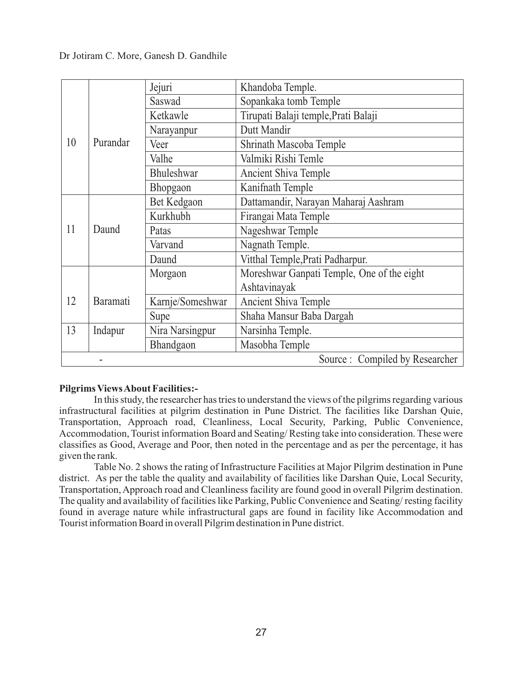|    |          | Jejuri            | Khandoba Temple.                           |
|----|----------|-------------------|--------------------------------------------|
|    |          | Saswad            | Sopankaka tomb Temple                      |
|    |          | Ketkawle          | Tirupati Balaji temple, Prati Balaji       |
|    |          | Narayanpur        | Dutt Mandir                                |
| 10 | Purandar | Veer              | Shrinath Mascoba Temple                    |
|    |          | Valhe             | Valmiki Rishi Temle                        |
|    |          | <b>Bhuleshwar</b> | Ancient Shiva Temple                       |
|    |          | Bhopgaon          | Kanifnath Temple                           |
|    |          | Bet Kedgaon       | Dattamandir, Narayan Maharaj Aashram       |
|    | Daund    | Kurkhubh          | Firangai Mata Temple                       |
| 11 |          | Patas             | Nageshwar Temple                           |
|    |          | Varvand           | Nagnath Temple.                            |
|    |          | Daund             | Vitthal Temple, Prati Padharpur.           |
|    |          | Morgaon           | Moreshwar Ganpati Temple, One of the eight |
|    |          |                   | Ashtavinayak                               |
| 12 | Baramati | Karnje/Someshwar  | Ancient Shiva Temple                       |
|    |          | Supe              | Shaha Mansur Baba Dargah                   |
| 13 | Indapur  | Nira Narsingpur   | Narsinha Temple.                           |
|    |          | Bhandgaon         | Masobha Temple                             |
|    |          |                   | Source: Compiled by Researcher             |

### **Pilgrims Views About Facilities:-**

In this study, the researcher has tries to understand the views of the pilgrims regarding various infrastructural facilities at pilgrim destination in Pune District. The facilities like Darshan Quie, Transportation, Approach road, Cleanliness, Local Security, Parking, Public Convenience, Accommodation, Tourist information Board and Seating/ Resting take into consideration. These were classifies as Good, Average and Poor, then noted in the percentage and as per the percentage, it has given the rank.

Table No. 2 shows the rating of Infrastructure Facilities at Major Pilgrim destination in Pune district. As per the table the quality and availability of facilities like Darshan Quie, Local Security, Transportation, Approach road and Cleanliness facility are found good in overall Pilgrim destination. The quality and availability of facilities like Parking, Public Convenience and Seating/ resting facility found in average nature while infrastructural gaps are found in facility like Accommodation and Tourist information Board in overall Pilgrim destination in Pune district.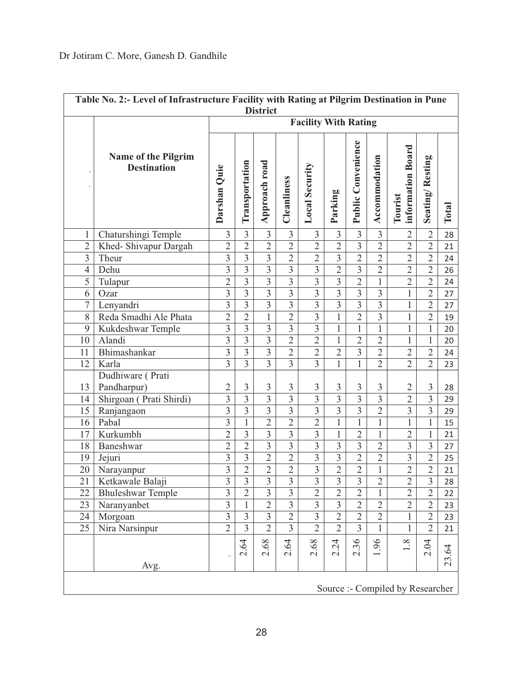| Table No. 2:- Level of Infrastructure Facility with Rating at Pilgrim Destination in Pune<br><b>District</b> |                                           |                         |                         |                           |                                |                |                         |                    |                |                              |                 |              |
|--------------------------------------------------------------------------------------------------------------|-------------------------------------------|-------------------------|-------------------------|---------------------------|--------------------------------|----------------|-------------------------|--------------------|----------------|------------------------------|-----------------|--------------|
|                                                                                                              | <b>Facility With Rating</b>               |                         |                         |                           |                                |                |                         |                    |                |                              |                 |              |
|                                                                                                              | Name of the Pilgrim<br><b>Destination</b> | Darshan Quie            | Transportation          | Approach road             | Cleanliness                    | Local Security | Parking                 | Public Convenience | Accommodation  | information Board<br>Tourist | Seating/Resting | <b>Total</b> |
| $\mathbf{1}$                                                                                                 | Chaturshingi Temple                       | $\overline{3}$          | $\overline{3}$          | $\overline{3}$            | $\overline{3}$                 | $\overline{3}$ | $\overline{3}$          | $\overline{3}$     | $\overline{3}$ | $\overline{2}$               | $\overline{2}$  | 28           |
| $\overline{2}$                                                                                               | Khed-Shivapur Dargah                      | $\overline{2}$          | $\overline{2}$          | $\overline{2}$            | $\overline{2}$                 | $\overline{2}$ | $\overline{2}$          | $\overline{3}$     | $\overline{2}$ | $\overline{2}$               | $\overline{2}$  | 21           |
| $\mathfrak{Z}$                                                                                               | Theur                                     | $\overline{\mathbf{3}}$ | $\overline{3}$          | $\overline{\mathbf{3}}$   | $\overline{2}$                 | $\overline{2}$ | $\overline{\mathbf{3}}$ | $\overline{2}$     | $\overline{2}$ | $\overline{2}$               | $\overline{2}$  | 24           |
| $\overline{4}$                                                                                               | Dehu                                      | $\overline{3}$          | $\overline{3}$          | $\overline{3}$            | $\overline{3}$                 | $\overline{3}$ | $\overline{2}$          | $\overline{3}$     | $\overline{2}$ | $\overline{2}$               | $\overline{2}$  | 26           |
| $\overline{5}$                                                                                               | Tulapur                                   | $\overline{2}$          | $\overline{3}$          | $\overline{3}$            | $\overline{3}$                 | $\overline{3}$ | $\overline{3}$          | $\overline{2}$     | $\overline{1}$ | $\overline{2}$               | $\overline{2}$  | 24           |
| 6                                                                                                            | Ozar                                      | $\overline{3}$          | $\overline{3}$          | $\overline{3}$            | $\overline{3}$                 | $\overline{3}$ | $\overline{3}$          | $\overline{3}$     | $\overline{3}$ | $\mathbf{1}$                 | $\overline{2}$  | 27           |
| $\overline{7}$                                                                                               | Lenyandri                                 | $\overline{3}$          | $\overline{\mathbf{3}}$ | $\overline{\overline{3}}$ | $\overline{3}$                 | $\overline{3}$ | $\overline{3}$          | $\overline{3}$     | $\overline{3}$ | $\mathbf{1}$                 | $\overline{2}$  | 27           |
| 8                                                                                                            | Reda Smadhi Ale Phata                     | $\overline{2}$          | $\overline{2}$          | $\mathbf{1}$              | $\overline{2}$                 | $\overline{3}$ | $\mathbf{1}$            | $\overline{2}$     | $\overline{3}$ | $\mathbf{1}$                 | $\overline{2}$  | 19           |
| $\overline{9}$                                                                                               | Kukdeshwar Temple                         | $\overline{3}$          | $\overline{3}$          | $\overline{3}$            | $\overline{3}$                 | $\overline{3}$ | $\overline{1}$          | $\mathbf{1}$       | $\overline{1}$ | $\mathbf{1}$                 | $\mathbf{1}$    | 20           |
| 10                                                                                                           | Alandi                                    | $\overline{3}$          | $\overline{3}$          | $\overline{3}$            | $\overline{2}$                 | $\overline{2}$ | $\mathbf{1}$            | $\overline{2}$     | $\overline{2}$ | $\mathbf{1}$                 | $\mathbf{1}$    | 20           |
| 11                                                                                                           | Bhimashankar                              | $\overline{3}$          | $\overline{3}$          | $\overline{\mathbf{3}}$   | $\overline{2}$                 | $\overline{2}$ | $\overline{2}$          | $\overline{3}$     | $\overline{2}$ | $\overline{2}$               | $\overline{2}$  | 24           |
| 12                                                                                                           | Karla                                     | $\overline{3}$          | $\overline{3}$          | $\overline{3}$            | $\overline{3}$                 | $\overline{3}$ | $\mathbf{1}$            | $\mathbf{1}$       | $\overline{2}$ | $\overline{2}$               | $\overline{2}$  | 23           |
| 13                                                                                                           | Dudhiware (Prati<br>Pandharpur)           | $\overline{2}$          | $\mathfrak{Z}$          | $\mathfrak{Z}$            | $\mathfrak{Z}$                 | $\mathfrak{Z}$ | $\mathfrak{Z}$          | $\mathfrak{Z}$     | $\mathfrak{Z}$ | $\overline{2}$               | $\mathfrak{Z}$  | 28           |
| 14                                                                                                           | Shirgoan (Prati Shirdi)                   | $\overline{3}$          | $\overline{3}$          | $\overline{3}$            | $\overline{3}$                 | $\overline{3}$ | $\overline{3}$          | $\overline{3}$     | $\overline{3}$ | $\overline{2}$               | $\overline{3}$  | 29           |
| 15                                                                                                           | Ranjangaon                                | $\overline{3}$          | $\overline{3}$          | $\overline{3}$            | $\overline{3}$                 | $\overline{3}$ | $\overline{3}$          | $\overline{3}$     | $\overline{2}$ | $\overline{3}$               | $\overline{3}$  | 29           |
| 16                                                                                                           | Pabal                                     | $\overline{\mathbf{3}}$ | $\,1$                   | $\overline{2}$            | $\overline{2}$                 | $\overline{2}$ | $\mathbf{1}$            | $\mathbf{1}$       | $\mathbf{1}$   | $\mathbf{1}$                 | $\mathbf{1}$    | 15           |
| 17                                                                                                           | Kurkumbh                                  | $\overline{2}$          | 3                       | $\overline{\mathbf{3}}$   | $\overline{3}$                 | $\overline{3}$ | $\mathbf{1}$            | $\overline{2}$     | $\mathbf{1}$   | $\overline{2}$               | 1               | 21           |
| 18                                                                                                           | Baneshwar                                 | $\overline{2}$          | $\overline{2}$          | $\overline{3}$            | $\overline{3}$                 | $\overline{3}$ | $\overline{3}$          | $\overline{3}$     | $\overline{2}$ | $\overline{3}$               | $\overline{3}$  | 27           |
| 19                                                                                                           | Jejuri                                    | $\overline{3}$          | $\overline{3}$          | $\overline{2}$            | $\overline{2}$                 | $\overline{3}$ | $\overline{3}$          | $\overline{2}$     | $\overline{2}$ | $\overline{3}$               | $\overline{2}$  | 25           |
| 20                                                                                                           | Narayanpur                                | $\overline{\mathbf{3}}$ | $\overline{2}$          | $\overline{2}$            | $\overline{2}$                 | $\overline{3}$ | $\overline{2}$          | $\overline{2}$     | $\mathbf{1}$   | $\overline{2}$               | $\overline{2}$  | 21           |
| 21                                                                                                           | Ketkawale Balaji                          | $\overline{3}$          | $\overline{3}$          | $\overline{3}$            | $\overline{\mathbf{3}}$        | $\overline{3}$ | $\overline{\mathbf{3}}$ | $\overline{3}$     | $\overline{2}$ | $\overline{2}$               | $\overline{3}$  | 28           |
| $\overline{22}$                                                                                              | <b>Bhuleshwar Temple</b>                  | $\overline{3}$          | $\overline{2}$          | $\overline{3}$            | $\overline{3}$                 | $\overline{2}$ | $\overline{2}$          | $\overline{2}$     | $\mathbf{1}$   | $\overline{2}$               | $\overline{2}$  | 22           |
| $\overline{23}$                                                                                              | Naranyanbet                               | $\overline{3}$          | $\overline{1}$          | $\overline{2}$            | $\overline{3}$                 | $\overline{3}$ | $\overline{3}$          | $\overline{2}$     | $\overline{2}$ | $\overline{2}$               | $\overline{2}$  | 23           |
| 24                                                                                                           | Morgoan                                   | $\overline{3}$          | $\overline{3}$          | $\overline{3}$            | $\overline{2}$                 | $\overline{3}$ | $\overline{2}$          | $\overline{2}$     | $\overline{2}$ | $\mathbf{1}$                 | $\overline{2}$  | 23           |
| 25                                                                                                           | Nira Narsinpur                            | $\overline{2}$          | $\overline{3}$          | $\overline{2}$            | $\overline{3}$                 | $\overline{2}$ | $\overline{2}$          | 3                  | $\mathbf{1}$   | $\mathbf{1}$                 | $\overline{2}$  | 21           |
|                                                                                                              | Avg.                                      | 13                      | 2.64                    | 2.68                      | 64<br>$\overline{\mathcal{N}}$ | 89<br>$\sim$   | 2.24                    | 2.36               | 1.96           | 1.8                          | 2.04            | 23.64        |
|                                                                                                              |                                           |                         |                         |                           |                                |                |                         |                    |                |                              |                 |              |

Source :- Compiled by Researcher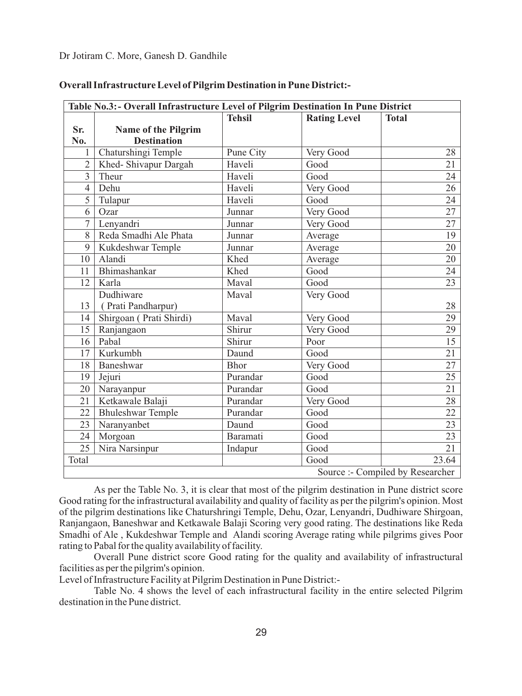| Table No.3:- Overall Infrastructure Level of Pilgrim Destination In Pune District |                          |               |                     |                                  |  |  |
|-----------------------------------------------------------------------------------|--------------------------|---------------|---------------------|----------------------------------|--|--|
|                                                                                   |                          | <b>Tehsil</b> | <b>Rating Level</b> | <b>Total</b>                     |  |  |
| Sr.                                                                               | Name of the Pilgrim      |               |                     |                                  |  |  |
| No.                                                                               | <b>Destination</b>       |               |                     |                                  |  |  |
| 1                                                                                 | Chaturshingi Temple      | Pune City     | Very Good           | 28                               |  |  |
| $\overline{2}$                                                                    | Khed- Shivapur Dargah    | Haveli        | Good                | 21                               |  |  |
| $\overline{3}$                                                                    | Theur                    | Haveli        | Good                | 24                               |  |  |
| $\overline{4}$                                                                    | Dehu                     | Haveli        | Very Good           | 26                               |  |  |
| 5                                                                                 | Tulapur                  | Haveli        | Good                | 24                               |  |  |
| 6                                                                                 | Ozar                     | Junnar        | Very Good           | 27                               |  |  |
| 7                                                                                 | Lenyandri                | Junnar        | Very Good           | 27                               |  |  |
| 8                                                                                 | Reda Smadhi Ale Phata    | Junnar        | Average             | 19                               |  |  |
| 9                                                                                 | Kukdeshwar Temple        | Junnar        | Average             | 20                               |  |  |
| 10                                                                                | Alandi                   | Khed          | Average             | 20                               |  |  |
| 11                                                                                | Bhimashankar             | Khed          | Good                | 24                               |  |  |
| 12                                                                                | Karla                    | Maval         | Good                | $\overline{23}$                  |  |  |
|                                                                                   | Dudhiware                | Maval         | Very Good           |                                  |  |  |
| 13                                                                                | (Prati Pandharpur)       |               |                     | 28                               |  |  |
| 14                                                                                | Shirgoan (Prati Shirdi)  | Maval         | Very Good           | 29                               |  |  |
| 15                                                                                | Ranjangaon               | Shirur        | Very Good           | 29                               |  |  |
| 16                                                                                | Pabal                    | Shirur        | Poor                | 15                               |  |  |
| 17                                                                                | Kurkumbh                 | Daund         | Good                | $\overline{21}$                  |  |  |
| 18                                                                                | Baneshwar                | <b>Bhor</b>   | Very Good           | 27                               |  |  |
| 19                                                                                | Jejuri                   | Purandar      | Good                | 25                               |  |  |
| 20                                                                                | Narayanpur               | Purandar      | Good                | 21                               |  |  |
| 21                                                                                | Ketkawale Balaji         | Purandar      | Very Good           | 28                               |  |  |
| 22                                                                                | <b>Bhuleshwar Temple</b> | Purandar      | Good                | 22                               |  |  |
| 23                                                                                | Naranyanbet              | Daund         | Good                | 23                               |  |  |
| 24                                                                                | Morgoan                  | Baramati      | Good                | 23                               |  |  |
| 25                                                                                | Nira Narsinpur           | Indapur       | Good                | 21                               |  |  |
| Total                                                                             |                          |               | Good                | 23.64                            |  |  |
|                                                                                   |                          |               |                     | Source :- Compiled by Researcher |  |  |

#### **Overall Infrastructure Level of Pilgrim Destination in Pune District:-**

As per the Table No. 3, it is clear that most of the pilgrim destination in Pune district score Good rating for the infrastructural availability and quality of facility as per the pilgrim's opinion. Most of the pilgrim destinations like Chaturshringi Temple, Dehu, Ozar, Lenyandri, Dudhiware Shirgoan, Ranjangaon, Baneshwar and Ketkawale Balaji Scoring very good rating. The destinations like Reda Smadhi of Ale , Kukdeshwar Temple and Alandi scoring Average rating while pilgrims gives Poor rating to Pabal for the quality availability of facility.

Overall Pune district score Good rating for the quality and availability of infrastructural facilities as per the pilgrim's opinion.

Level of Infrastructure Facility at Pilgrim Destination in Pune District:-

Table No. 4 shows the level of each infrastructural facility in the entire selected Pilgrim destination in the Pune district.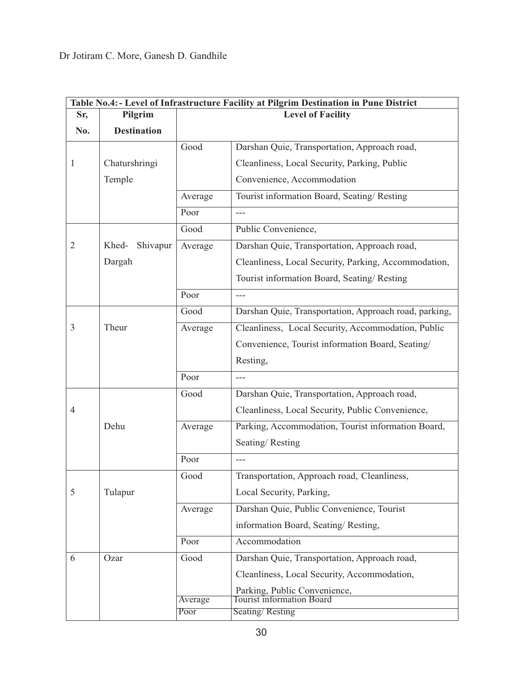|                | Table No.4: - Level of Infrastructure Facility at Pilgrim Destination in Pune District |         |                                                           |  |  |
|----------------|----------------------------------------------------------------------------------------|---------|-----------------------------------------------------------|--|--|
| Sr,            | Pilgrim                                                                                |         | <b>Level of Facility</b>                                  |  |  |
| No.            | <b>Destination</b>                                                                     |         |                                                           |  |  |
|                |                                                                                        | Good    | Darshan Quie, Transportation, Approach road,              |  |  |
| 1              | Chaturshringi                                                                          |         | Cleanliness, Local Security, Parking, Public              |  |  |
|                | Temple                                                                                 |         | Convenience, Accommodation                                |  |  |
|                |                                                                                        | Average | Tourist information Board, Seating/Resting                |  |  |
|                |                                                                                        | Poor    | $---$                                                     |  |  |
|                |                                                                                        | Good    | Public Convenience,                                       |  |  |
| $\overline{2}$ | Khed-<br>Shivapur                                                                      | Average | Darshan Quie, Transportation, Approach road,              |  |  |
|                | Dargah                                                                                 |         | Cleanliness, Local Security, Parking, Accommodation,      |  |  |
|                |                                                                                        |         | Tourist information Board, Seating/Resting                |  |  |
|                |                                                                                        | Poor    | $---$                                                     |  |  |
|                |                                                                                        | Good    | Darshan Quie, Transportation, Approach road, parking,     |  |  |
| 3              | Theur                                                                                  | Average | Cleanliness, Local Security, Accommodation, Public        |  |  |
|                |                                                                                        |         | Convenience, Tourist information Board, Seating/          |  |  |
|                |                                                                                        |         | Resting,                                                  |  |  |
|                |                                                                                        | Poor    | $---$                                                     |  |  |
|                |                                                                                        | Good    | Darshan Quie, Transportation, Approach road,              |  |  |
| 4              |                                                                                        |         | Cleanliness, Local Security, Public Convenience,          |  |  |
|                | Dehu                                                                                   | Average | Parking, Accommodation, Tourist information Board,        |  |  |
|                |                                                                                        |         | Seating/Resting                                           |  |  |
|                |                                                                                        | Poor    |                                                           |  |  |
|                |                                                                                        | Good    | Transportation, Approach road, Cleanliness,               |  |  |
| 5              | Tulapur                                                                                |         | Local Security, Parking,                                  |  |  |
|                |                                                                                        | Average | Darshan Quie, Public Convenience, Tourist                 |  |  |
|                |                                                                                        |         | information Board, Seating/Resting,                       |  |  |
|                |                                                                                        | Poor    | Accommodation                                             |  |  |
| 6              | Ozar                                                                                   | Good    | Darshan Quie, Transportation, Approach road,              |  |  |
|                |                                                                                        |         | Cleanliness, Local Security, Accommodation,               |  |  |
|                |                                                                                        |         | Parking, Public Convenience,<br>Tourist information Board |  |  |
|                |                                                                                        | Average |                                                           |  |  |
|                |                                                                                        | Poor    | Seating/Resting                                           |  |  |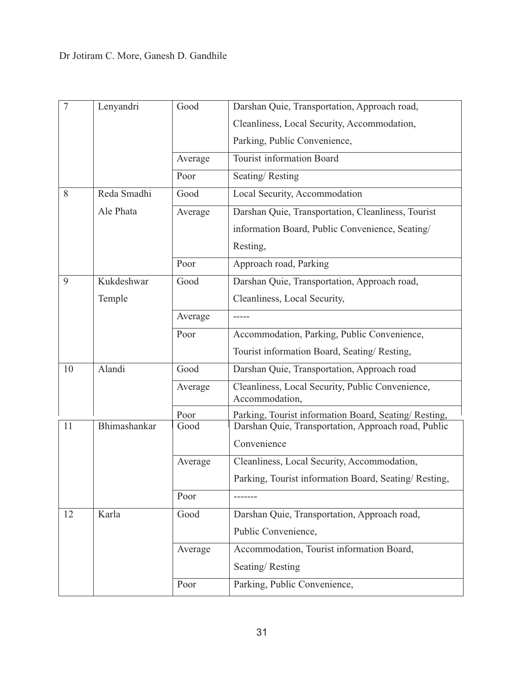| $\overline{7}$ | Lenyandri    | Good    | Darshan Quie, Transportation, Approach road,                       |  |
|----------------|--------------|---------|--------------------------------------------------------------------|--|
|                |              |         | Cleanliness, Local Security, Accommodation,                        |  |
|                |              |         | Parking, Public Convenience,                                       |  |
|                |              | Average | Tourist information Board                                          |  |
|                |              | Poor    | Seating/Resting                                                    |  |
| 8              | Reda Smadhi  | Good    | Local Security, Accommodation                                      |  |
|                | Ale Phata    | Average | Darshan Quie, Transportation, Cleanliness, Tourist                 |  |
|                |              |         | information Board, Public Convenience, Seating/                    |  |
|                |              |         | Resting,                                                           |  |
|                |              | Poor    | Approach road, Parking                                             |  |
| 9              | Kukdeshwar   | Good    | Darshan Quie, Transportation, Approach road,                       |  |
|                | Temple       |         | Cleanliness, Local Security,                                       |  |
|                |              | Average |                                                                    |  |
|                |              | Poor    | Accommodation, Parking, Public Convenience,                        |  |
|                |              |         | Tourist information Board, Seating/Resting,                        |  |
| 10             | Alandi       | Good    | Darshan Quie, Transportation, Approach road                        |  |
|                |              | Average | Cleanliness, Local Security, Public Convenience,<br>Accommodation, |  |
|                |              | Poor    | Parking, Tourist information Board, Seating/Resting,               |  |
| 11             | Bhimashankar | Good    | Darshan Quie, Transportation, Approach road, Public                |  |
|                |              |         | Convenience                                                        |  |
|                |              | Average | Cleanliness, Local Security, Accommodation,                        |  |
|                |              |         | Parking, Tourist information Board, Seating/Resting,               |  |
|                |              | Poor    | -------                                                            |  |
| 12             | Karla        | Good    | Darshan Quie, Transportation, Approach road,                       |  |
|                |              |         | Public Convenience,                                                |  |
|                |              | Average | Accommodation, Tourist information Board,                          |  |
|                |              |         | Seating/Resting                                                    |  |
|                |              | Poor    | Parking, Public Convenience,                                       |  |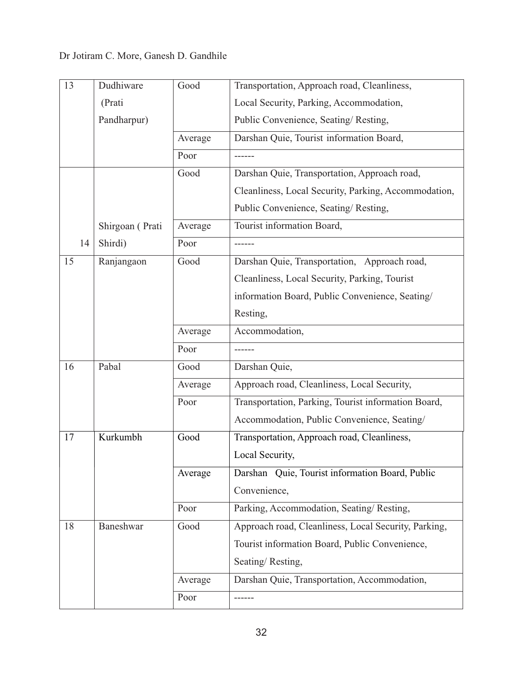| 13 |    | Dudhiware       | Good    | Transportation, Approach road, Cleanliness,          |
|----|----|-----------------|---------|------------------------------------------------------|
|    |    | (Prati          |         | Local Security, Parking, Accommodation,              |
|    |    | Pandharpur)     |         | Public Convenience, Seating/Resting,                 |
|    |    |                 | Average | Darshan Quie, Tourist information Board,             |
|    |    |                 | Poor    |                                                      |
|    |    |                 | Good    | Darshan Quie, Transportation, Approach road,         |
|    |    |                 |         | Cleanliness, Local Security, Parking, Accommodation, |
|    |    |                 |         | Public Convenience, Seating/Resting,                 |
|    |    | Shirgoan (Prati | Average | Tourist information Board,                           |
|    | 14 | Shirdi)         | Poor    |                                                      |
| 15 |    | Ranjangaon      | Good    | Darshan Quie, Transportation, Approach road,         |
|    |    |                 |         | Cleanliness, Local Security, Parking, Tourist        |
|    |    |                 |         | information Board, Public Convenience, Seating/      |
|    |    |                 |         | Resting,                                             |
|    |    |                 | Average | Accommodation,                                       |
|    |    |                 | Poor    |                                                      |
| 16 |    | Pabal           | Good    | Darshan Quie,                                        |
|    |    |                 | Average | Approach road, Cleanliness, Local Security,          |
|    |    |                 | Poor    | Transportation, Parking, Tourist information Board,  |
|    |    |                 |         | Accommodation, Public Convenience, Seating/          |
| 17 |    | Kurkumbh        | Good    | Transportation, Approach road, Cleanliness,          |
|    |    |                 |         | Local Security,                                      |
|    |    |                 | Average | Darshan Quie, Tourist information Board, Public      |
|    |    |                 |         | Convenience,                                         |
|    |    |                 | Poor    | Parking, Accommodation, Seating/Resting,             |
| 18 |    | Baneshwar       | Good    | Approach road, Cleanliness, Local Security, Parking, |
|    |    |                 |         | Tourist information Board, Public Convenience,       |
|    |    |                 |         | Seating/Resting,                                     |
|    |    |                 | Average | Darshan Quie, Transportation, Accommodation,         |
|    |    |                 | Poor    |                                                      |
|    |    |                 |         |                                                      |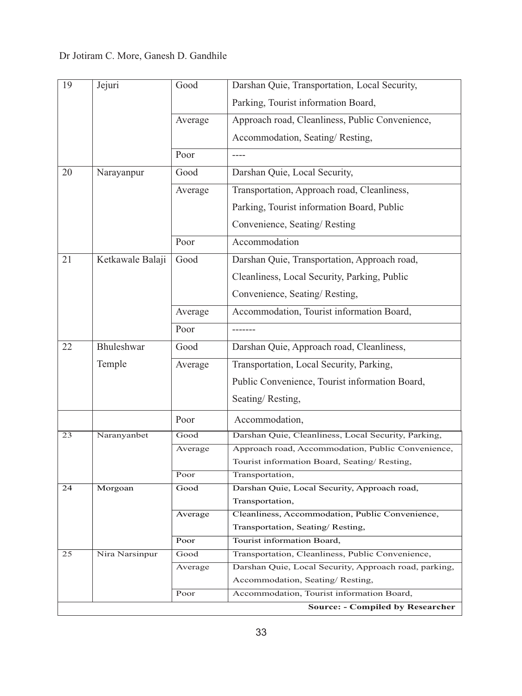| 19 | Jejuri           | Good    | Darshan Quie, Transportation, Local Security,                   |
|----|------------------|---------|-----------------------------------------------------------------|
|    |                  |         | Parking, Tourist information Board,                             |
|    |                  | Average | Approach road, Cleanliness, Public Convenience,                 |
|    |                  |         | Accommodation, Seating/Resting,                                 |
|    |                  | Poor    | $---$                                                           |
| 20 | Narayanpur       | Good    | Darshan Quie, Local Security,                                   |
|    |                  | Average | Transportation, Approach road, Cleanliness,                     |
|    |                  |         | Parking, Tourist information Board, Public                      |
|    |                  |         | Convenience, Seating/Resting                                    |
|    |                  | Poor    | Accommodation                                                   |
| 21 | Ketkawale Balaji | Good    | Darshan Quie, Transportation, Approach road,                    |
|    |                  |         | Cleanliness, Local Security, Parking, Public                    |
|    |                  |         | Convenience, Seating/Resting,                                   |
|    |                  | Average | Accommodation, Tourist information Board,                       |
|    |                  | Poor    |                                                                 |
| 22 | Bhuleshwar       | Good    | Darshan Quie, Approach road, Cleanliness,                       |
|    | Temple           | Average | Transportation, Local Security, Parking,                        |
|    |                  |         | Public Convenience, Tourist information Board,                  |
|    |                  |         | Seating/Resting,                                                |
|    |                  | Poor    | Accommodation,                                                  |
| 23 | Naranyanbet      | Good    | Darshan Quie, Cleanliness, Local Security, Parking,             |
|    |                  | Average | Approach road, Accommodation, Public Convenience,               |
|    |                  |         | Tourist information Board, Seating/Resting,                     |
|    |                  | Poor    | Transportation,                                                 |
| 24 | Morgoan          | Good    | Darshan Quie, Local Security, Approach road,<br>Transportation, |
|    |                  | Average | Cleanliness, Accommodation, Public Convenience,                 |
|    |                  |         | Transportation, Seating/Resting,                                |
|    |                  | Poor    | Tourist information Board,                                      |
| 25 | Nira Narsinpur   | Good    | Transportation, Cleanliness, Public Convenience,                |
|    |                  | Average | Darshan Quie, Local Security, Approach road, parking,           |
|    |                  |         | Accommodation, Seating/Resting,                                 |
|    |                  | Poor    | Accommodation, Tourist information Board,                       |
|    |                  |         | <b>Source: - Compiled by Researcher</b>                         |